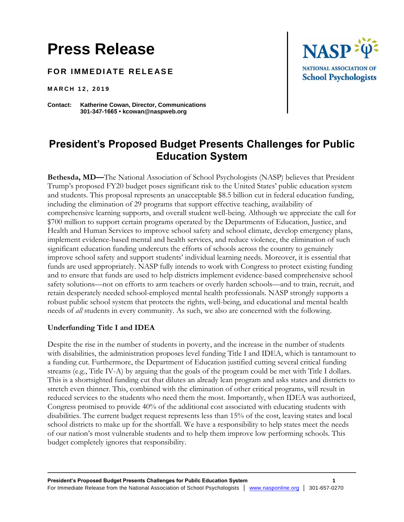# **Press Release**

**FOR IMMEDIATE RELEASE** 

**M A R C H 1 2 , 2 0 1 9**

**Contact: Katherine Cowan, Director, Communications 301-347-1665 • kcowan@naspweb.org**



## **President's Proposed Budget Presents Challenges for Public Education System**

**Bethesda, MD—**The National Association of School Psychologists (NASP) believes that President Trump's proposed FY20 budget poses significant risk to the United States' public education system and students. This proposal represents an unacceptable \$8.5 billion cut in federal education funding, including the elimination of 29 programs that support effective teaching, availability of comprehensive learning supports, and overall student well-being. Although we appreciate the call for \$700 million to support certain programs operated by the Departments of Education, Justice, and Health and Human Services to improve school safety and school climate, develop emergency plans, implement evidence-based mental and health services, and reduce violence, the elimination of such significant education funding undercuts the efforts of schools across the country to genuinely improve school safety and support students' individual learning needs. Moreover, it is essential that funds are used appropriately. NASP fully intends to work with Congress to protect existing funding and to ensure that funds are used to help districts implement evidence-based comprehensive school safety solutions—not on efforts to arm teachers or overly harden schools—and to train, recruit, and retain desperately needed school-employed mental health professionals. NASP strongly supports a robust public school system that protects the rights, well-being, and educational and mental health needs of *all* students in every community. As such, we also are concerned with the following.

### **Underfunding Title I and IDEA**

Despite the rise in the number of students in poverty, and the increase in the number of students with disabilities, the administration proposes level funding Title I and IDEA, which is tantamount to a funding cut. Furthermore, the Department of Education justified cutting several critical funding streams (e.g., Title IV-A) by arguing that the goals of the program could be met with Title I dollars. This is a shortsighted funding cut that dilutes an already lean program and asks states and districts to stretch even thinner. This, combined with the elimination of other critical programs, will result in reduced services to the students who need them the most. Importantly, when IDEA was authorized, Congress promised to provide 40% of the additional cost associated with educating students with disabilities. The current budget request represents less than 15% of the cost, leaving states and local school districts to make up for the shortfall. We have a responsibility to help states meet the needs of our nation's most vulnerable students and to help them improve low performing schools. This budget completely ignores that responsibility.